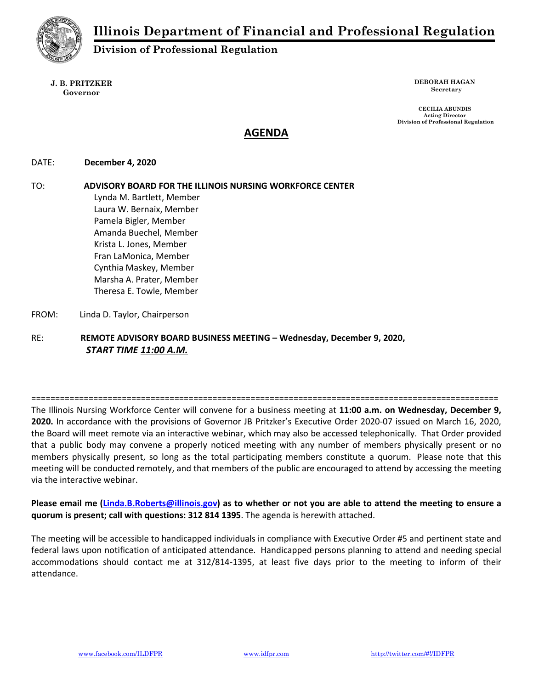

Division of Professional Regulation

J. B. PRITZKER Governor

DEBORAH HAGAN Secretary

CECILIA ABUNDIS Acting Director Division of Professional Regulation

# AGENDA

## DATE: December 4, 2020

TO: ADVISORY BOARD FOR THE ILLINOIS NURSING WORKFORCE CENTER Lynda M. Bartlett, Member Laura W. Bernaix, Member Pamela Bigler, Member Amanda Buechel, Member Krista L. Jones, Member

Fran LaMonica, Member Cynthia Maskey, Member Marsha A. Prater, Member Theresa E. Towle, Member

FROM: Linda D. Taylor, Chairperson

RE: REMOTE ADVISORY BOARD BUSINESS MEETING – Wednesday, December 9, 2020, START TIME 11:00 A.M.

==================================================================================================

The Illinois Nursing Workforce Center will convene for a business meeting at 11:00 a.m. on Wednesday, December 9, 2020. In accordance with the provisions of Governor JB Pritzker's Executive Order 2020-07 issued on March 16, 2020, the Board will meet remote via an interactive webinar, which may also be accessed telephonically. That Order provided that a public body may convene a properly noticed meeting with any number of members physically present or no members physically present, so long as the total participating members constitute a quorum. Please note that this meeting will be conducted remotely, and that members of the public are encouraged to attend by accessing the meeting via the interactive webinar.

Please email me (Linda.B.Roberts@illinois.gov) as to whether or not you are able to attend the meeting to ensure a quorum is present; call with questions: 312 814 1395. The agenda is herewith attached.

The meeting will be accessible to handicapped individuals in compliance with Executive Order #5 and pertinent state and federal laws upon notification of anticipated attendance. Handicapped persons planning to attend and needing special accommodations should contact me at 312/814-1395, at least five days prior to the meeting to inform of their attendance.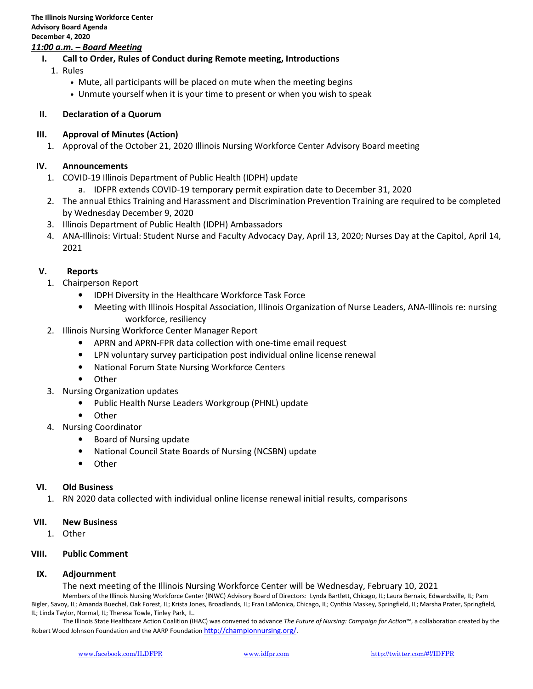## 11:00 a.m. – Board Meeting

- I. Call to Order, Rules of Conduct during Remote meeting, Introductions
	- 1. Rules
		- Mute, all participants will be placed on mute when the meeting begins
		- Unmute yourself when it is your time to present or when you wish to speak

#### II. Declaration of a Quorum

## III. Approval of Minutes (Action)

1. Approval of the October 21, 2020 Illinois Nursing Workforce Center Advisory Board meeting

## IV. Announcements

- 1. COVID-19 Illinois Department of Public Health (IDPH) update
	- a. IDFPR extends COVID-19 temporary permit expiration date to December 31, 2020
- 2. The annual Ethics Training and Harassment and Discrimination Prevention Training are required to be completed by Wednesday December 9, 2020
- 3. Illinois Department of Public Health (IDPH) Ambassadors
- 4. ANA-Illinois: Virtual: Student Nurse and Faculty Advocacy Day, April 13, 2020; Nurses Day at the Capitol, April 14, 2021

## V. Reports

- 1. Chairperson Report
	- IDPH Diversity in the Healthcare Workforce Task Force
	- Meeting with Illinois Hospital Association, Illinois Organization of Nurse Leaders, ANA-Illinois re: nursing workforce, resiliency
- 2. Illinois Nursing Workforce Center Manager Report
	- APRN and APRN-FPR data collection with one-time email request
	- LPN voluntary survey participation post individual online license renewal
	- National Forum State Nursing Workforce Centers
	- Other
- 3. Nursing Organization updates
	- Public Health Nurse Leaders Workgroup (PHNL) update
	- Other
- 4. Nursing Coordinator
	- Board of Nursing update
	- National Council State Boards of Nursing (NCSBN) update
	- Other

#### VI. Old Business

1. RN 2020 data collected with individual online license renewal initial results, comparisons

#### VII. New Business

1. Other

#### VIII. Public Comment

## IX. Adjournment

The next meeting of the Illinois Nursing Workforce Center will be Wednesday, February 10, 2021

Members of the Illinois Nursing Workforce Center (INWC) Advisory Board of Directors: Lynda Bartlett, Chicago, IL; Laura Bernaix, Edwardsville, IL; Pam Bigler, Savoy, IL; Amanda Buechel, Oak Forest, IL; Krista Jones, Broadlands, IL; Fran LaMonica, Chicago, IL; Cynthia Maskey, Springfield, IL; Marsha Prater, Springfield, IL; Linda Taylor, Normal, IL; Theresa Towle, Tinley Park, IL.

The Illinois State Healthcare Action Coalition (IHAC) was convened to advance The Future of Nursing: Campaign for Action™, a collaboration created by the Robert Wood Johnson Foundation and the AARP Foundation http://championnursing.org/.